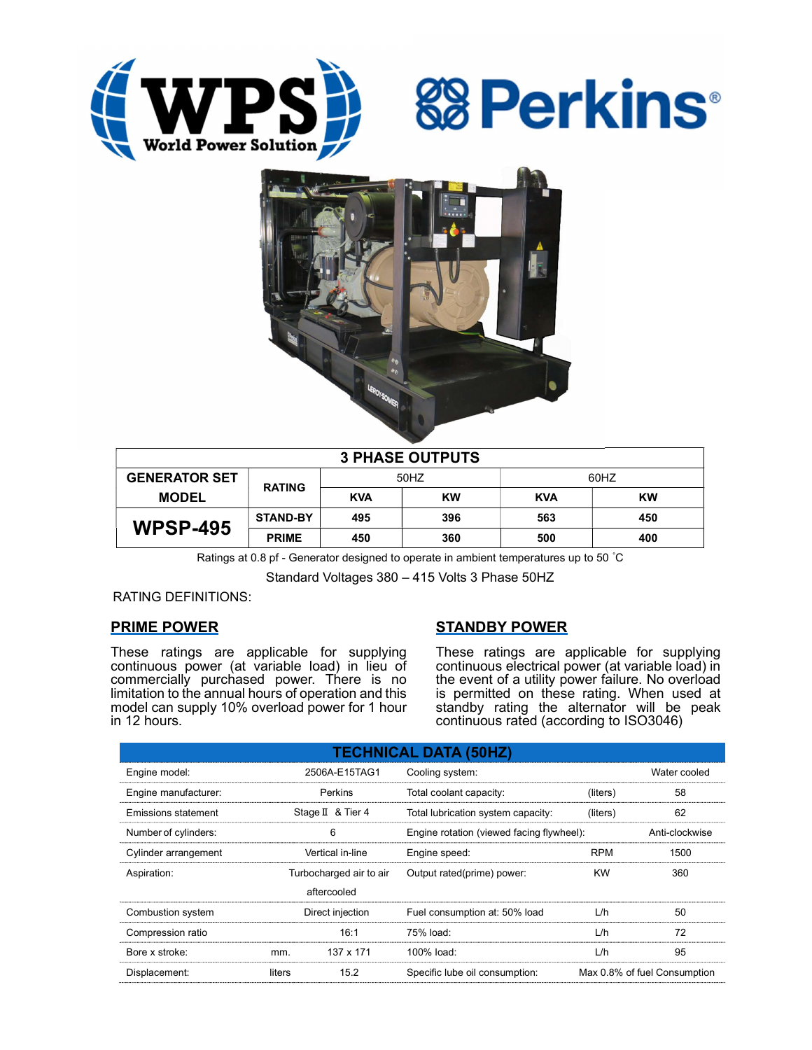





| <b>3 PHASE OUTPUTS</b> |                 |            |           |            |           |  |  |
|------------------------|-----------------|------------|-----------|------------|-----------|--|--|
| <b>GENERATOR SET</b>   | <b>RATING</b>   | 50HZ       |           | 60HZ       |           |  |  |
| <b>MODEL</b>           |                 | <b>KVA</b> | <b>KW</b> | <b>KVA</b> | <b>KW</b> |  |  |
| <b>WPSP-495</b>        | <b>STAND-BY</b> | 495        | 396       | 563        | 450       |  |  |
|                        | <b>PRIME</b>    | 450        | 360       | 500        | 400       |  |  |

Ratings at 0.8 pf - Generator designed to operate in ambient temperatures up to 50 °C

Standard Voltages 380 – 415 Volts 3 Phase 50HZ

RATING DEFINITIONS:

# PRIME POWER

These ratings are applicable for supplying continuous power (at variable load) in lieu of commercially purchased power. There is no limitation to the annual hours of operation and this model can supply 10% overload power for 1 hour in 12 hours.

# STANDBY POWER

These ratings are applicable for supplying continuous electrical power (at variable load) in the event of a utility power failure. No overload is permitted on these rating. When used at standby rating the alternator will be peak continuous rated (according to ISO3046)

| <b>TECHNICAL DATA (50HZ)</b> |                         |             |                                           |              |                              |  |
|------------------------------|-------------------------|-------------|-------------------------------------------|--------------|------------------------------|--|
| Engine model:                | 2506A-E15TAG1           |             | Cooling system:                           | Water cooled |                              |  |
| Engine manufacturer:         | Perkins                 |             | Total coolant capacity:                   | (liters)     | 58                           |  |
| Emissions statement          | Stage II & Tier 4       |             | Total lubrication system capacity:        | (liters)     | 62                           |  |
| Number of cylinders:         | 6                       |             | Engine rotation (viewed facing flywheel): |              | Anti-clockwise               |  |
| Cylinder arrangement         | Vertical in-line        |             | Engine speed:                             | <b>RPM</b>   | 1500                         |  |
| Aspiration:                  | Turbocharged air to air |             | Output rated(prime) power:                | <b>KW</b>    | 360                          |  |
|                              |                         | aftercooled |                                           |              |                              |  |
| Combustion system            | Direct injection        |             | Fuel consumption at: 50% load             | L/h          | 50                           |  |
| Compression ratio            |                         | 16:1        | 75% load:                                 | L/h          | 72                           |  |
| Bore x stroke:               | mm.                     | 137 x 171   | 100% load:                                | L/h          | 95                           |  |
| Displacement:                | liters                  | 15.2        | Specific lube oil consumption:            |              | Max 0.8% of fuel Consumption |  |